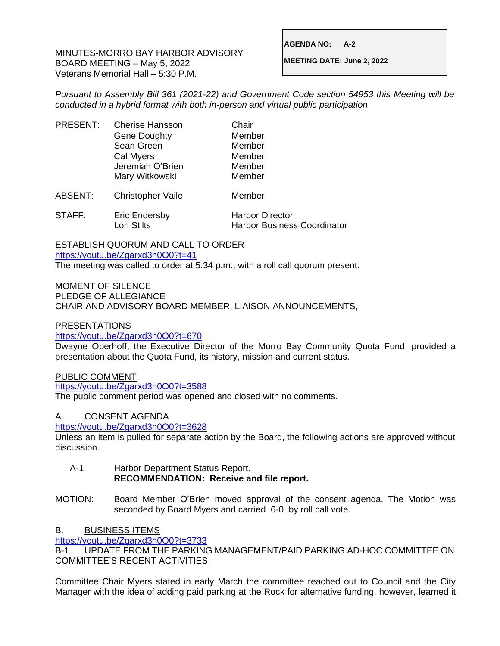MINUTES-MORRO BAY HARBOR ADVISORY BOARD MEETING – May 5, 2022 Veterans Memorial Hall – 5:30 P.M.

**AGENDA NO: A-2**

**MEETING DATE: June 2, 2022**

*Pursuant to Assembly Bill 361 (2021-22) and Government Code section 54953 this Meeting will be conducted in a hybrid format with both in-person and virtual public participation*

| <b>PRESENT:</b> | <b>Cherise Hansson</b><br><b>Gene Doughty</b><br>Sean Green<br>Cal Myers<br>Jeremiah O'Brien<br>Mary Witkowski | Chair<br>Member<br>Member<br>Member<br>Member<br>Member |
|-----------------|----------------------------------------------------------------------------------------------------------------|---------------------------------------------------------|
| ABSENT:         | <b>Christopher Vaile</b>                                                                                       | Member                                                  |
| STAFF:          | <b>Eric Endersby</b>                                                                                           | <b>Harbor Director</b>                                  |

Lori Stilts Harbor Business Coordinator

ESTABLISH QUORUM AND CALL TO ORDER <https://youtu.be/Zgarxd3n0O0?t=41>

The meeting was called to order at 5:34 p.m., with a roll call quorum present.

MOMENT OF SILENCE PLEDGE OF ALLEGIANCE CHAIR AND ADVISORY BOARD MEMBER, LIAISON ANNOUNCEMENTS,

PRESENTATIONS

<https://youtu.be/Zgarxd3n0O0?t=670>

Dwayne Oberhoff, the Executive Director of the Morro Bay Community Quota Fund, provided a presentation about the Quota Fund, its history, mission and current status.

PUBLIC COMMENT

<https://youtu.be/Zgarxd3n0O0?t=3588>

The public comment period was opened and closed with no comments.

A. CONSENT AGENDA

<https://youtu.be/Zgarxd3n0O0?t=3628>

Unless an item is pulled for separate action by the Board, the following actions are approved without discussion.

- A-1 Harbor Department Status Report. **RECOMMENDATION: Receive and file report.**
- MOTION: Board Member O'Brien moved approval of the consent agenda. The Motion was seconded by Board Myers and carried 6-0 by roll call vote.

## B. BUSINESS ITEMS

<https://youtu.be/Zgarxd3n0O0?t=3733>

B-1 UPDATE FROM THE PARKING MANAGEMENT/PAID PARKING AD-HOC COMMITTEE ON COMMITTEE'S RECENT ACTIVITIES

Committee Chair Myers stated in early March the committee reached out to Council and the City Manager with the idea of adding paid parking at the Rock for alternative funding, however, learned it